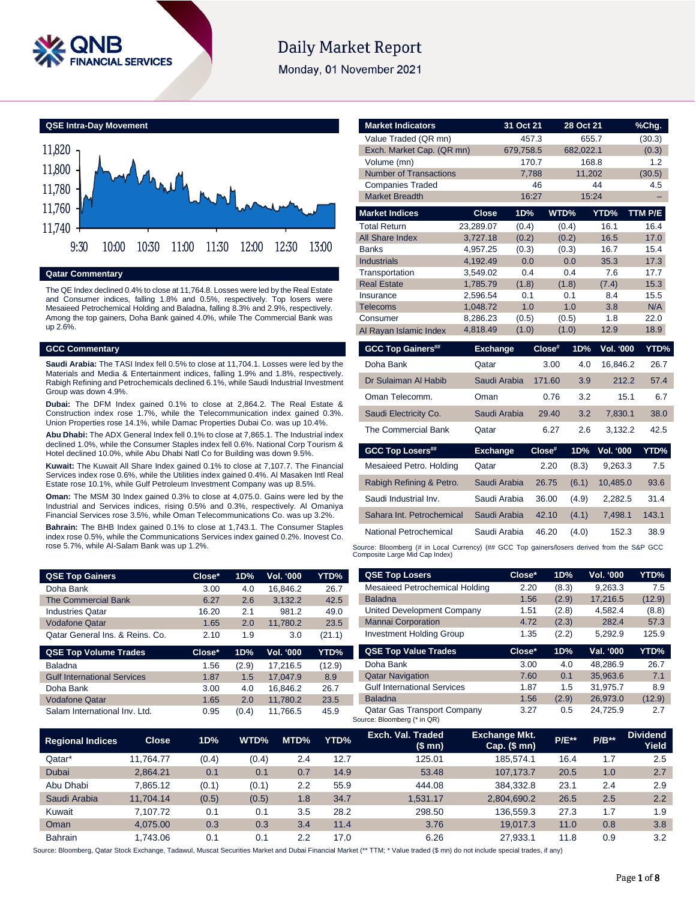

## **Daily Market Report**

Monday, 01 November 2021



# 11,740 11,760 9:30 10:00 10:30 11:00 11:30 12:00 12:30 13:00

### **Qatar Commentary**

The QE Index declined 0.4% to close at 11,764.8. Losses were led by the Real Estate and Consumer indices, falling 1.8% and 0.5%, respectively. Top losers were Mesaieed Petrochemical Holding and Baladna, falling 8.3% and 2.9%, respectively. Among the top gainers, Doha Bank gained 4.0%, while The Commercial Bank was up 2.6%.

#### **GCC Commentary**

**Saudi Arabia:** The TASI Index fell 0.5% to close at 11,704.1. Losses were led by the Materials and Media & Entertainment indices, falling 1.9% and 1.8%, respectively. Rabigh Refining and Petrochemicals declined 6.1%, while Saudi Industrial Investment Group was down 4.9%.

**Dubai:** The DFM Index gained 0.1% to close at 2,864.2. The Real Estate & Construction index rose 1.7%, while the Telecommunication index gained 0.3%. Union Properties rose 14.1%, while Damac Properties Dubai Co. was up 10.4%.

**Abu Dhabi:** The ADX General Index fell 0.1% to close at 7,865.1. The Industrial index declined 1.0%, while the Consumer Staples index fell 0.6%. National Corp Tourism & Hotel declined 10.0%, while Abu Dhabi Natl Co for Building was down 9.5%.

**Kuwait:** The Kuwait All Share Index gained 0.1% to close at 7,107.7. The Financial Services index rose 0.6%, while the Utilities index gained 0.4%. Al Masaken Intl Real Estate rose 10.1%, while Gulf Petroleum Investment Company was up 8.5%.

**Oman:** The MSM 30 Index gained 0.3% to close at 4,075.0. Gains were led by the Industrial and Services indices, rising 0.5% and 0.3%, respectively. Al Omaniya Financial Services rose 3.5%, while Oman Telecommunications Co. was up 3.2%.

**Bahrain:** The BHB Index gained 0.1% to close at 1,743.1. The Consumer Staples index rose 0.5%, while the Communications Services index gained 0.2%. Inovest Co. rose 5.7%, while Al-Salam Bank was up 1.2%.

| <b>QSE Top Gainers</b>          | Close* | 1D% | Vol. '000 | YTD%   |
|---------------------------------|--------|-----|-----------|--------|
| Doha Bank                       | 3.00   | 4.0 | 16.846.2  | 26.7   |
| <b>The Commercial Bank</b>      | 6.27   | 26  | 3.132.2   | 42.5   |
| <b>Industries Qatar</b>         | 16.20  | 2.1 | 981.2     | 49.0   |
| Vodafone Qatar                  | 1.65   | 2.0 | 11.780.2  | 23.5   |
| Qatar General Ins. & Reins. Co. | 2.10   | 1.9 | 3.0       | (21.1) |

| <b>QSE Top Volume Trades</b>       | Close* | 1D%   | Vol. '000 | YTD%   |
|------------------------------------|--------|-------|-----------|--------|
| <b>Baladna</b>                     | 1.56   | (2.9) | 17.216.5  | (12.9) |
| <b>Gulf International Services</b> | 1.87   | 1.5   | 17.047.9  | 8.9    |
| Doha Bank                          | 3.00   | 4.0   | 16.846.2  | 26.7   |
| <b>Vodafone Qatar</b>              | 1.65   | 2.0   | 11.780.2  | 23.5   |
| Salam International Inv. Ltd.      | 0.95   | (0.4) | 11.766.5  | 45.9   |

| <b>Market Indicators</b>           |                      | 31 Oct 21      |        | 28 Oct 21      |            | %Chg.       |
|------------------------------------|----------------------|----------------|--------|----------------|------------|-------------|
| Value Traded (QR mn)               |                      |                | 457.3  | 655.7          |            | (30.3)      |
| Exch. Market Cap. (QR mn)          |                      | 679,758.5      |        | 682,022.1      |            | (0.3)       |
| Volume (mn)                        |                      |                | 170.7  | 168.8          |            | 1.2         |
| <b>Number of Transactions</b>      |                      |                | 7,788  | 11,202         |            | (30.5)      |
| <b>Companies Traded</b>            |                      |                | 46     |                | 44         | 4.5         |
| <b>Market Breadth</b>              |                      |                | 16:27  | 15:24          |            |             |
| <b>Market Indices</b>              | <b>Close</b>         | 1D%            | WTD%   |                | YTD%       | TTM P/E     |
| <b>Total Return</b>                | 23,289.07            | (0.4)          |        | (0.4)          | 16.1       | 16.4        |
| All Share Index                    | 3,727.18             | (0.2)          |        | (0.2)          | 16.5       | 17.0        |
| <b>Banks</b>                       | 4,957.25             | (0.3)          |        | (0.3)          | 16.7       | 15.4        |
| <b>Industrials</b>                 | 4,192.49             | 0.0            |        | 0.0            | 35.3       | 17.3        |
| Transportation                     | 3,549.02             | 0.4            |        | 0.4            | 7.6        | 17.7        |
| <b>Real Estate</b>                 | 1,785.79             | (1.8)          |        | (1.8)          | (7.4)      | 15.3        |
| Insurance                          | 2,596.54             | 0.1            |        | 0.1            | 8.4        | 15.5        |
| <b>Telecoms</b>                    | 1,048.72<br>8,286.23 | 1.0            |        | 1.0            | 3.8<br>1.8 | N/A<br>22.0 |
| Consumer<br>Al Rayan Islamic Index | 4,818.49             | (0.5)<br>(1.0) |        | (0.5)<br>(1.0) | 12.9       | 18.9        |
|                                    |                      |                |        |                |            |             |
| <b>GCC Top Gainers##</b>           | <b>Exchange</b>      |                | Close# | 1D%            | Vol. '000  | YTD%        |
| Doha Bank                          | Qatar                |                | 3.00   | 4.0            | 16,846.2   | 26.7        |
| Dr Sulaiman Al Habib               | Saudi Arabia         |                | 171.60 | 3.9            | 212.2      | 57.4        |
| Oman Telecomm.                     | Oman                 |                | 0.76   | 3.2            | 15.1       | 6.7         |
| Saudi Electricity Co.              | Saudi Arabia         |                | 29.40  | 3.2            | 7,830.1    | 38.0        |
| The Commercial Bank                | Qatar                |                | 6.27   | 2.6            | 3,132.2    | 42.5        |
| <b>GCC Top Losers##</b>            | <b>Exchange</b>      |                | Close# | 1D%            | Vol. '000  | YTD%        |
| Mesaieed Petro. Holding            | Qatar                |                | 2.20   | (8.3)          | 9,263.3    | 7.5         |
| Rabigh Refining & Petro.           | Saudi Arabia         |                | 26.75  | (6.1)          | 10,485.0   | 93.6        |
| Saudi Industrial Inv.              | Saudi Arabia         |                | 36.00  | (4.9)          | 2,282.5    | 31.4        |
| Sahara Int. Petrochemical          | Saudi Arabia         |                | 42.10  | (4.1)          | 7,498.1    | 143.1       |
| National Petrochemical             | Saudi Arabia         |                | 46.20  | (4.0)          | 152.3      | 38.9        |

Source: Bloomberg (# in Local Currency) (## GCC Top gainers/losers derived from the S&P GCC<br>Composite Large Mid Cap Index)

| <b>QSE Top Losers</b>              | Close* | 1D%   | <b>Vol. '000</b> | YTD%   |
|------------------------------------|--------|-------|------------------|--------|
| Mesaieed Petrochemical Holding     | 2.20   | (8.3) | 9.263.3          | 7.5    |
| <b>Baladna</b>                     | 1.56   | (2.9) | 17,216.5         | (12.9) |
| United Development Company         | 1.51   | (2.8) | 4.582.4          | (8.8)  |
| <b>Mannai Corporation</b>          | 4.72   | (2.3) | 282.4            | 57.3   |
| <b>Investment Holding Group</b>    | 1.35   | (2.2) | 5,292.9          | 125.9  |
|                                    |        |       |                  |        |
| <b>QSE Top Value Trades</b>        | Close* | 1D%   | Val. '000        | YTD%   |
| Doha Bank                          | 3.00   | 4.0   | 48.286.9         | 26.7   |
| <b>Qatar Navigation</b>            | 7.60   | 0.1   | 35.963.6         | 7.1    |
| <b>Gulf International Services</b> | 1.87   | 1.5   | 31.975.7         | 8.9    |
| <b>Baladna</b>                     | 1.56   | (2.9) | 26,973.0         | (12.9) |

| <b>Regional Indices</b> | <b>Close</b> | 1D%   | WTD%  | MTD% | YTD% | Exch. Val. Traded<br>(\$ mn) | <b>Exchange Mkt.</b><br>Cap. $($mn)$ | <b>P/E**</b> | $P/B**$ | <b>Dividend</b><br>Yield |
|-------------------------|--------------|-------|-------|------|------|------------------------------|--------------------------------------|--------------|---------|--------------------------|
| Qatar*                  | 11.764.77    | (0.4) | (0.4) | 2.4  | 12.7 | 125.01                       | 185.574.1                            | 16.4         | 1.7     | 2.5                      |
| <b>Dubai</b>            | 2.864.21     | 0.1   | 0.1   | 0.7  | 14.9 | 53.48                        | 107.173.7                            | 20.5         | 1.0     | 2.7                      |
| Abu Dhabi               | 7.865.12     | (0.1) | (0.1) | 2.2  | 55.9 | 444.08                       | 384.332.8                            | 23.1         | 2.4     | 2.9                      |
| Saudi Arabia            | 11.704.14    | (0.5) | (0.5) | 1.8  | 34.7 | 1.531.17                     | 2.804.690.2                          | 26.5         | 2.5     | 2.2                      |
| Kuwait                  | 7.107.72     | 0.1   | 0.1   | 3.5  | 28.2 | 298.50                       | 136.559.3                            | 27.3         | 1.7     | 1.9                      |
| Oman                    | 4.075.00     | 0.3   | 0.3   | 3.4  | 11.4 | 3.76                         | 19.017.3                             | 11.0         | 0.8     | 3.8                      |
| <b>Bahrain</b>          | 1.743.06     | 0.1   | 0.1   | 2.2  | 17.0 | 6.26                         | 27.933.1                             | 11.8         | 0.9     | 3.2                      |

Source: Bloomberg, Qatar Stock Exchange, Tadawul, Muscat Securities Market and Dubai Financial Market (\*\* TTM; \* Value traded (\$ mn) do not include special trades, if any)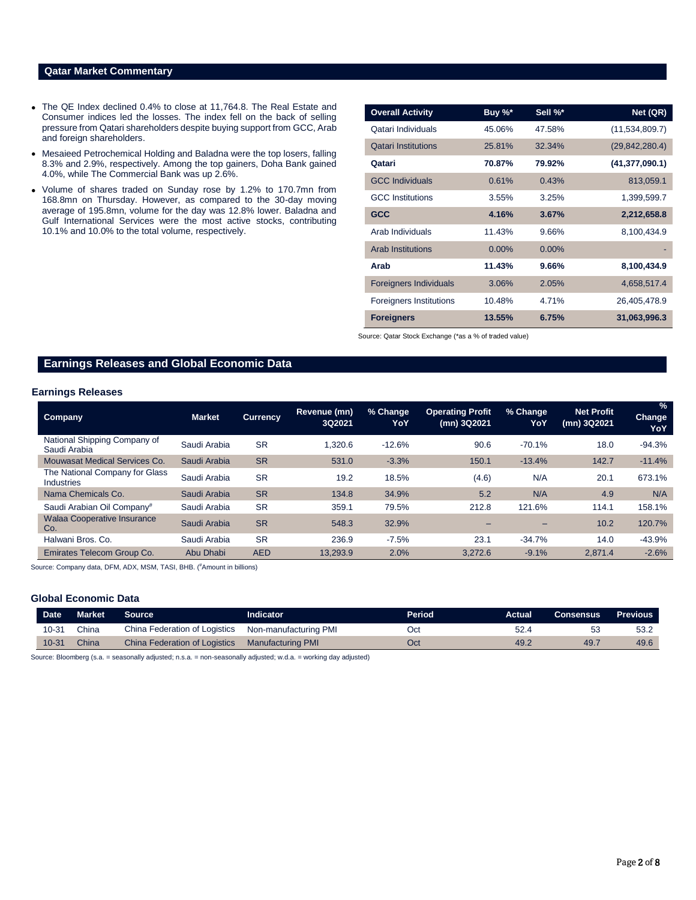#### **Qatar Market Commentary**

- The QE Index declined 0.4% to close at 11,764.8. The Real Estate and Consumer indices led the losses. The index fell on the back of selling pressure from Qatari shareholders despite buying support from GCC, Arab and foreign shareholders.
- Mesaieed Petrochemical Holding and Baladna were the top losers, falling 8.3% and 2.9%, respectively. Among the top gainers, Doha Bank gained 4.0%, while The Commercial Bank was up 2.6%.
- Volume of shares traded on Sunday rose by 1.2% to 170.7mn from 168.8mn on Thursday. However, as compared to the 30-day moving average of 195.8mn, volume for the day was 12.8% lower. Baladna and Gulf International Services were the most active stocks, contributing 10.1% and 10.0% to the total volume, respectively.

| <b>Overall Activity</b>        | Buy %*   | Sell %*  | Net (QR)         |
|--------------------------------|----------|----------|------------------|
| Qatari Individuals             | 45.06%   | 47.58%   | (11,534,809.7)   |
| <b>Qatari Institutions</b>     | 25.81%   | 32.34%   | (29, 842, 280.4) |
| Qatari                         | 70.87%   | 79.92%   | (41, 377, 090.1) |
| <b>GCC Individuals</b>         | 0.61%    | 0.43%    | 813,059.1        |
| <b>GCC</b> Institutions        | 3.55%    | 3.25%    | 1,399,599.7      |
| <b>GCC</b>                     | 4.16%    | 3.67%    | 2,212,658.8      |
| Arab Individuals               | 11.43%   | 9.66%    | 8,100,434.9      |
| <b>Arab Institutions</b>       | $0.00\%$ | $0.00\%$ |                  |
| Arab                           | 11.43%   | 9.66%    | 8,100,434.9      |
| <b>Foreigners Individuals</b>  | 3.06%    | 2.05%    | 4,658,517.4      |
| <b>Foreigners Institutions</b> | 10.48%   | 4.71%    | 26,405,478.9     |
| <b>Foreigners</b>              | 13.55%   | 6.75%    | 31,063,996.3     |

Source: Qatar Stock Exchange (\*as a % of traded value)

### **Earnings Releases and Global Economic Data**

#### **Earnings Releases**

| <b>Company</b>                                      | <b>Market</b> | <b>Currency</b> | Revenue (mn)<br>3Q2021 | % Change<br>YoY | <b>Operating Profit</b><br>(mn) 3Q2021 | % Change<br>YoY | <b>Net Profit</b><br>(mn) 3Q2021 | $\frac{9}{6}$<br><b>Change</b><br>YoY |
|-----------------------------------------------------|---------------|-----------------|------------------------|-----------------|----------------------------------------|-----------------|----------------------------------|---------------------------------------|
| National Shipping Company of<br>Saudi Arabia        | Saudi Arabia  | <b>SR</b>       | 1.320.6                | $-12.6%$        | 90.6                                   | $-70.1%$        | 18.0                             | $-94.3%$                              |
| Mouwasat Medical Services Co.                       | Saudi Arabia  | <b>SR</b>       | 531.0                  | $-3.3%$         | 150.1                                  | $-13.4%$        | 142.7                            | $-11.4%$                              |
| The National Company for Glass<br><b>Industries</b> | Saudi Arabia  | <b>SR</b>       | 19.2                   | 18.5%           | (4.6)                                  | N/A             | 20.1                             | 673.1%                                |
| Nama Chemicals Co.                                  | Saudi Arabia  | <b>SR</b>       | 134.8                  | 34.9%           | 5.2                                    | N/A             | 4.9                              | N/A                                   |
| Saudi Arabian Oil Company#                          | Saudi Arabia  | <b>SR</b>       | 359.1                  | 79.5%           | 212.8                                  | 121.6%          | 114.1                            | 158.1%                                |
| <b>Walaa Cooperative Insurance</b><br>Co.           | Saudi Arabia  | <b>SR</b>       | 548.3                  | 32.9%           | $\overline{\phantom{0}}$               | -               | 10.2                             | 120.7%                                |
| Halwani Bros. Co.                                   | Saudi Arabia  | <b>SR</b>       | 236.9                  | $-7.5%$         | 23.1                                   | $-34.7%$        | 14.0                             | $-43.9%$                              |
| Emirates Telecom Group Co.                          | Abu Dhabi     | <b>AED</b>      | 13.293.9               | 2.0%            | 3.272.6                                | $-9.1%$         | 2.871.4                          | $-2.6%$                               |

Source: Company data, DFM, ADX, MSM, TASI, BHB. ( #Amount in billions)

#### **Global Economic Data**

| <b>Date</b> | Marketˈ | <b>Source</b>                        | <b>Indicator</b>         | Period | Actual | Consensus | Previous |
|-------------|---------|--------------------------------------|--------------------------|--------|--------|-----------|----------|
| 10-31       | China   | China Federation of Logistics        | Non-manufacturing PMI    | Oct    | 52.4   | 53        | 53.2     |
| $10 - 31$   | China   | <b>China Federation of Logistics</b> | <b>Manufacturing PMI</b> | Oct    | 49.2   | 49.1      | 49.6     |

Source: Bloomberg (s.a. = seasonally adjusted; n.s.a. = non-seasonally adjusted; w.d.a. = working day adjusted)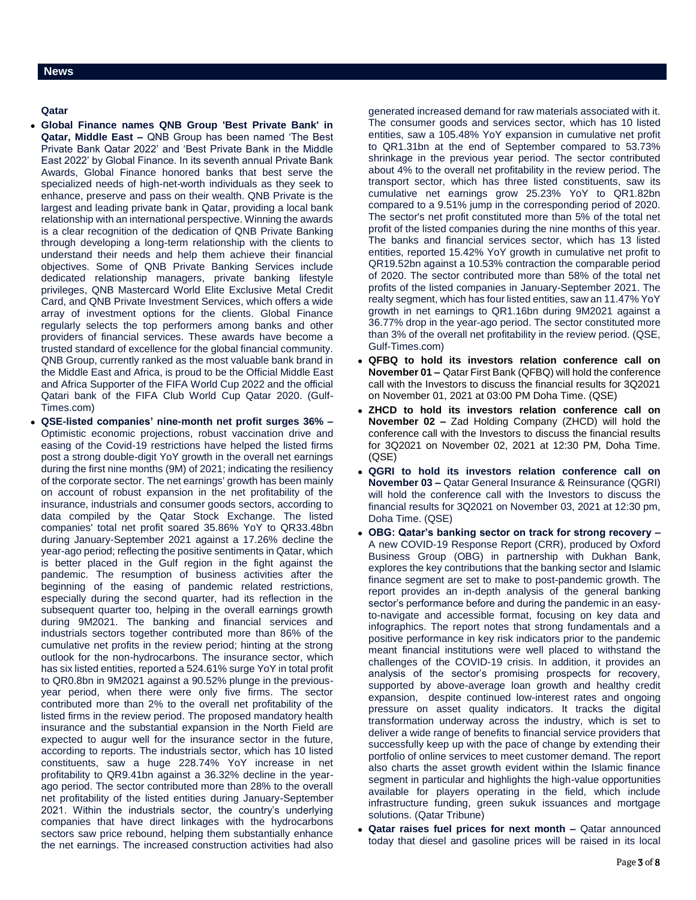#### **Qatar**

- **Global Finance names QNB Group 'Best Private Bank' in Qatar, Middle East –** QNB Group has been named 'The Best Private Bank Qatar 2022' and 'Best Private Bank in the Middle East 2022' by Global Finance. In its seventh annual Private Bank Awards, Global Finance honored banks that best serve the specialized needs of high-net-worth individuals as they seek to enhance, preserve and pass on their wealth. QNB Private is the largest and leading private bank in Qatar, providing a local bank relationship with an international perspective. Winning the awards is a clear recognition of the dedication of QNB Private Banking through developing a long-term relationship with the clients to understand their needs and help them achieve their financial objectives. Some of QNB Private Banking Services include dedicated relationship managers, private banking lifestyle privileges, QNB Mastercard World Elite Exclusive Metal Credit Card, and QNB Private Investment Services, which offers a wide array of investment options for the clients. Global Finance regularly selects the top performers among banks and other providers of financial services. These awards have become a trusted standard of excellence for the global financial community. QNB Group, currently ranked as the most valuable bank brand in the Middle East and Africa, is proud to be the Official Middle East and Africa Supporter of the FIFA World Cup 2022 and the official Qatari bank of the FIFA Club World Cup Qatar 2020. (Gulf-Times.com)
- **QSE-listed companies' nine-month net profit surges 36% –** Optimistic economic projections, robust vaccination drive and easing of the Covid-19 restrictions have helped the listed firms post a strong double-digit YoY growth in the overall net earnings during the first nine months (9M) of 2021; indicating the resiliency of the corporate sector. The net earnings' growth has been mainly on account of robust expansion in the net profitability of the insurance, industrials and consumer goods sectors, according to data compiled by the Qatar Stock Exchange. The listed companies' total net profit soared 35.86% YoY to QR33.48bn during January-September 2021 against a 17.26% decline the year-ago period; reflecting the positive sentiments in Qatar, which is better placed in the Gulf region in the fight against the pandemic. The resumption of business activities after the beginning of the easing of pandemic related restrictions, especially during the second quarter, had its reflection in the subsequent quarter too, helping in the overall earnings growth during 9M2021. The banking and financial services and industrials sectors together contributed more than 86% of the cumulative net profits in the review period; hinting at the strong outlook for the non-hydrocarbons. The insurance sector, which has six listed entities, reported a 524.61% surge YoY in total profit to QR0.8bn in 9M2021 against a 90.52% plunge in the previousyear period, when there were only five firms. The sector contributed more than 2% to the overall net profitability of the listed firms in the review period. The proposed mandatory health insurance and the substantial expansion in the North Field are expected to augur well for the insurance sector in the future, according to reports. The industrials sector, which has 10 listed constituents, saw a huge 228.74% YoY increase in net profitability to QR9.41bn against a 36.32% decline in the yearago period. The sector contributed more than 28% to the overall net profitability of the listed entities during January-September 2021. Within the industrials sector, the country's underlying companies that have direct linkages with the hydrocarbons sectors saw price rebound, helping them substantially enhance the net earnings. The increased construction activities had also

generated increased demand for raw materials associated with it. The consumer goods and services sector, which has 10 listed entities, saw a 105.48% YoY expansion in cumulative net profit to QR1.31bn at the end of September compared to 53.73% shrinkage in the previous year period. The sector contributed about 4% to the overall net profitability in the review period. The transport sector, which has three listed constituents, saw its cumulative net earnings grow 25.23% YoY to QR1.82bn compared to a 9.51% jump in the corresponding period of 2020. The sector's net profit constituted more than 5% of the total net profit of the listed companies during the nine months of this year. The banks and financial services sector, which has 13 listed entities, reported 15.42% YoY growth in cumulative net profit to QR19.52bn against a 10.53% contraction the comparable period of 2020. The sector contributed more than 58% of the total net profits of the listed companies in January-September 2021. The realty segment, which has four listed entities, saw an 11.47% YoY growth in net earnings to QR1.16bn during 9M2021 against a 36.77% drop in the year-ago period. The sector constituted more than 3% of the overall net profitability in the review period. (QSE, Gulf-Times.com)

- **QFBQ to hold its investors relation conference call on November 01 –** Qatar First Bank (QFBQ) will hold the conference call with the Investors to discuss the financial results for 3Q2021 on November 01, 2021 at 03:00 PM Doha Time. (QSE)
- **ZHCD to hold its investors relation conference call on November 02 –** Zad Holding Company (ZHCD) will hold the conference call with the Investors to discuss the financial results for 3Q2021 on November 02, 2021 at 12:30 PM, Doha Time. (QSE)
- **QGRI to hold its investors relation conference call on November 03 –** Qatar General Insurance & Reinsurance (QGRI) will hold the conference call with the Investors to discuss the financial results for 3Q2021 on November 03, 2021 at 12:30 pm, Doha Time. (QSE)
- **OBG: Qatar's banking sector on track for strong recovery –** A new COVID-19 Response Report (CRR), produced by Oxford Business Group (OBG) in partnership with Dukhan Bank, explores the key contributions that the banking sector and Islamic finance segment are set to make to post-pandemic growth. The report provides an in-depth analysis of the general banking sector's performance before and during the pandemic in an easyto-navigate and accessible format, focusing on key data and infographics. The report notes that strong fundamentals and a positive performance in key risk indicators prior to the pandemic meant financial institutions were well placed to withstand the challenges of the COVID-19 crisis. In addition, it provides an analysis of the sector's promising prospects for recovery, supported by above-average loan growth and healthy credit expansion, despite continued low-interest rates and ongoing pressure on asset quality indicators. It tracks the digital transformation underway across the industry, which is set to deliver a wide range of benefits to financial service providers that successfully keep up with the pace of change by extending their portfolio of online services to meet customer demand. The report also charts the asset growth evident within the Islamic finance segment in particular and highlights the high-value opportunities available for players operating in the field, which include infrastructure funding, green sukuk issuances and mortgage solutions. (Qatar Tribune)
- **Qatar raises fuel prices for next month –** Qatar announced today that diesel and gasoline prices will be raised in its local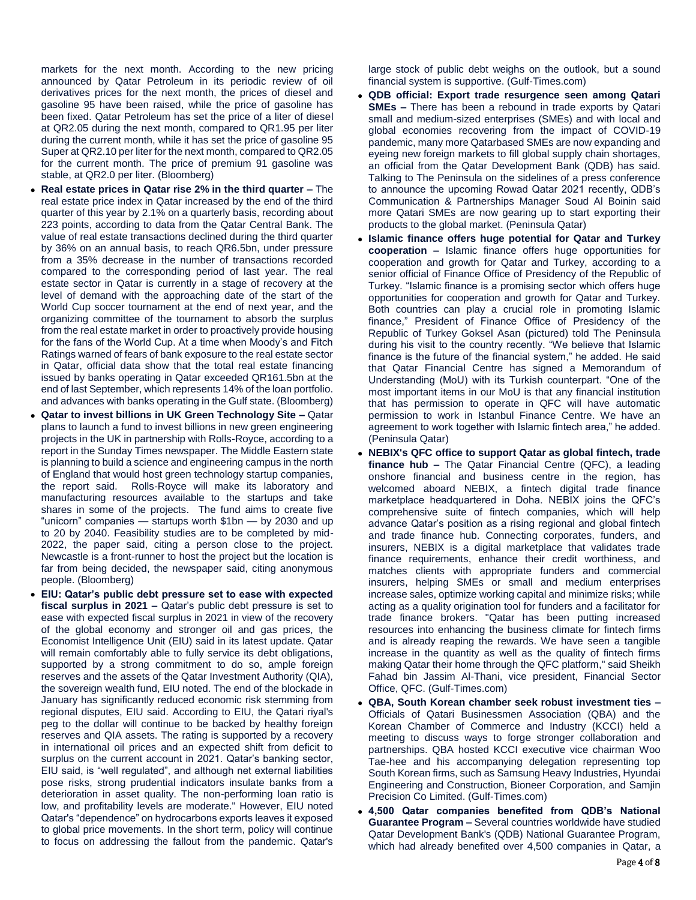markets for the next month. According to the new pricing announced by Qatar Petroleum in its periodic review of oil derivatives prices for the next month, the prices of diesel and gasoline 95 have been raised, while the price of gasoline has been fixed. Qatar Petroleum has set the price of a liter of diesel at QR2.05 during the next month, compared to QR1.95 per liter during the current month, while it has set the price of gasoline 95 Super at QR2.10 per liter for the next month, compared to QR2.05 for the current month. The price of premium 91 gasoline was stable, at QR2.0 per liter. (Bloomberg)

- **Real estate prices in Qatar rise 2% in the third quarter –** The real estate price index in Qatar increased by the end of the third quarter of this year by 2.1% on a quarterly basis, recording about 223 points, according to data from the Qatar Central Bank. The value of real estate transactions declined during the third quarter by 36% on an annual basis, to reach QR6.5bn, under pressure from a 35% decrease in the number of transactions recorded compared to the corresponding period of last year. The real estate sector in Qatar is currently in a stage of recovery at the level of demand with the approaching date of the start of the World Cup soccer tournament at the end of next year, and the organizing committee of the tournament to absorb the surplus from the real estate market in order to proactively provide housing for the fans of the World Cup. At a time when Moody's and Fitch Ratings warned of fears of bank exposure to the real estate sector in Qatar, official data show that the total real estate financing issued by banks operating in Qatar exceeded QR161.5bn at the end of last September, which represents 14% of the loan portfolio. and advances with banks operating in the Gulf state. (Bloomberg)
- **Qatar to invest billions in UK Green Technology Site –** Qatar plans to launch a fund to invest billions in new green engineering projects in the UK in partnership with Rolls-Royce, according to a report in the Sunday Times newspaper. The Middle Eastern state is planning to build a science and engineering campus in the north of England that would host green technology startup companies, the report said. Rolls-Royce will make its laboratory and manufacturing resources available to the startups and take shares in some of the projects. The fund aims to create five "unicorn" companies — startups worth \$1bn — by 2030 and up to 20 by 2040. Feasibility studies are to be completed by mid-2022, the paper said, citing a person close to the project. Newcastle is a front-runner to host the project but the location is far from being decided, the newspaper said, citing anonymous people. (Bloomberg)
- **EIU: Qatar's public debt pressure set to ease with expected fiscal surplus in 2021 –** Qatar's public debt pressure is set to ease with expected fiscal surplus in 2021 in view of the recovery of the global economy and stronger oil and gas prices, the Economist Intelligence Unit (EIU) said in its latest update. Qatar will remain comfortably able to fully service its debt obligations, supported by a strong commitment to do so, ample foreign reserves and the assets of the Qatar Investment Authority (QIA), the sovereign wealth fund, EIU noted. The end of the blockade in January has significantly reduced economic risk stemming from regional disputes, EIU said. According to EIU, the Qatari riyal's peg to the dollar will continue to be backed by healthy foreign reserves and QIA assets. The rating is supported by a recovery in international oil prices and an expected shift from deficit to surplus on the current account in 2021. Qatar's banking sector, EIU said, is "well regulated", and although net external liabilities pose risks, strong prudential indicators insulate banks from a deterioration in asset quality. The non-performing loan ratio is low, and profitability levels are moderate." However, EIU noted Qatar's "dependence" on hydrocarbons exports leaves it exposed to global price movements. In the short term, policy will continue to focus on addressing the fallout from the pandemic. Qatar's

large stock of public debt weighs on the outlook, but a sound financial system is supportive. (Gulf-Times.com)

- **QDB official: Export trade resurgence seen among Qatari SMEs –** There has been a rebound in trade exports by Qatari small and medium-sized enterprises (SMEs) and with local and global economies recovering from the impact of COVID-19 pandemic, many more Qatarbased SMEs are now expanding and eyeing new foreign markets to fill global supply chain shortages, an official from the Qatar Development Bank (QDB) has said. Talking to The Peninsula on the sidelines of a press conference to announce the upcoming Rowad Qatar 2021 recently, QDB's Communication & Partnerships Manager Soud Al Boinin said more Qatari SMEs are now gearing up to start exporting their products to the global market. (Peninsula Qatar)
- **Islamic finance offers huge potential for Qatar and Turkey cooperation –** Islamic finance offers huge opportunities for cooperation and growth for Qatar and Turkey, according to a senior official of Finance Office of Presidency of the Republic of Turkey. "Islamic finance is a promising sector which offers huge opportunities for cooperation and growth for Qatar and Turkey. Both countries can play a crucial role in promoting Islamic finance," President of Finance Office of Presidency of the Republic of Turkey Goksel Asan (pictured) told The Peninsula during his visit to the country recently. "We believe that Islamic finance is the future of the financial system," he added. He said that Qatar Financial Centre has signed a Memorandum of Understanding (MoU) with its Turkish counterpart. "One of the most important items in our MoU is that any financial institution that has permission to operate in QFC will have automatic permission to work in Istanbul Finance Centre. We have an agreement to work together with Islamic fintech area," he added. (Peninsula Qatar)
- **NEBIX's QFC office to support Qatar as global fintech, trade finance hub –** The Qatar Financial Centre (QFC), a leading onshore financial and business centre in the region, has welcomed aboard NEBIX, a fintech digital trade finance marketplace headquartered in Doha. NEBIX joins the QFC's comprehensive suite of fintech companies, which will help advance Qatar's position as a rising regional and global fintech and trade finance hub. Connecting corporates, funders, and insurers, NEBIX is a digital marketplace that validates trade finance requirements, enhance their credit worthiness, and matches clients with appropriate funders and commercial insurers, helping SMEs or small and medium enterprises increase sales, optimize working capital and minimize risks; while acting as a quality origination tool for funders and a facilitator for trade finance brokers. "Qatar has been putting increased resources into enhancing the business climate for fintech firms and is already reaping the rewards. We have seen a tangible increase in the quantity as well as the quality of fintech firms making Qatar their home through the QFC platform," said Sheikh Fahad bin Jassim Al-Thani, vice president, Financial Sector Office, QFC. (Gulf-Times.com)
- **QBA, South Korean chamber seek robust investment ties –** Officials of Qatari Businessmen Association (QBA) and the Korean Chamber of Commerce and Industry (KCCI) held a meeting to discuss ways to forge stronger collaboration and partnerships. QBA hosted KCCI executive vice chairman Woo Tae-hee and his accompanying delegation representing top South Korean firms, such as Samsung Heavy Industries, Hyundai Engineering and Construction, Bioneer Corporation, and Samjin Precision Co Limited. (Gulf-Times.com)
- **4,500 Qatar companies benefited from QDB's National Guarantee Program –** Several countries worldwide have studied Qatar Development Bank's (QDB) National Guarantee Program, which had already benefited over 4,500 companies in Qatar, a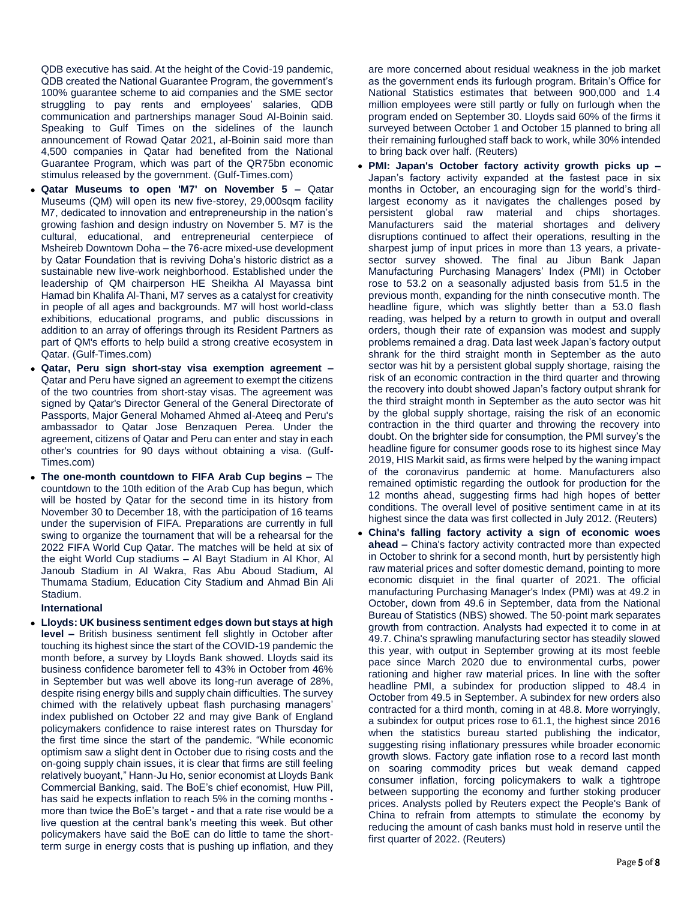QDB executive has said. At the height of the Covid-19 pandemic, QDB created the National Guarantee Program, the government's 100% guarantee scheme to aid companies and the SME sector struggling to pay rents and employees' salaries, QDB communication and partnerships manager Soud Al-Boinin said. Speaking to Gulf Times on the sidelines of the launch announcement of Rowad Qatar 2021, al-Boinin said more than 4,500 companies in Qatar had benefited from the National Guarantee Program, which was part of the QR75bn economic stimulus released by the government. (Gulf-Times.com)

- **Qatar Museums to open 'M7' on November 5 –** Qatar Museums (QM) will open its new five-storey, 29,000sqm facility M7, dedicated to innovation and entrepreneurship in the nation's growing fashion and design industry on November 5. M7 is the cultural, educational, and entrepreneurial centerpiece of Msheireb Downtown Doha – the 76-acre mixed-use development by Qatar Foundation that is reviving Doha's historic district as a sustainable new live-work neighborhood. Established under the leadership of QM chairperson HE Sheikha Al Mayassa bint Hamad bin Khalifa Al-Thani, M7 serves as a catalyst for creativity in people of all ages and backgrounds. M7 will host world-class exhibitions, educational programs, and public discussions in addition to an array of offerings through its Resident Partners as part of QM's efforts to help build a strong creative ecosystem in Qatar. (Gulf-Times.com)
- **Qatar, Peru sign short-stay visa exemption agreement –** Qatar and Peru have signed an agreement to exempt the citizens of the two countries from short-stay visas. The agreement was signed by Qatar's Director General of the General Directorate of Passports, Major General Mohamed Ahmed al-Ateeq and Peru's ambassador to Qatar Jose Benzaquen Perea. Under the agreement, citizens of Qatar and Peru can enter and stay in each other's countries for 90 days without obtaining a visa. (Gulf-Times.com)
- **The one-month countdown to FIFA Arab Cup begins –** The countdown to the 10th edition of the Arab Cup has begun, which will be hosted by Qatar for the second time in its history from November 30 to December 18, with the participation of 16 teams under the supervision of FIFA. Preparations are currently in full swing to organize the tournament that will be a rehearsal for the 2022 FIFA World Cup Qatar. The matches will be held at six of the eight World Cup stadiums – Al Bayt Stadium in Al Khor, Al Janoub Stadium in Al Wakra, Ras Abu Aboud Stadium, Al Thumama Stadium, Education City Stadium and Ahmad Bin Ali Stadium.

#### **International**

 **Lloyds: UK business sentiment edges down but stays at high level –** British business sentiment fell slightly in October after touching its highest since the start of the COVID-19 pandemic the month before, a survey by Lloyds Bank showed. Lloyds said its business confidence barometer fell to 43% in October from 46% in September but was well above its long-run average of 28%, despite rising energy bills and supply chain difficulties. The survey chimed with the relatively upbeat flash purchasing managers' index published on October 22 and may give Bank of England policymakers confidence to raise interest rates on Thursday for the first time since the start of the pandemic. "While economic optimism saw a slight dent in October due to rising costs and the on-going supply chain issues, it is clear that firms are still feeling relatively buoyant," Hann-Ju Ho, senior economist at Lloyds Bank Commercial Banking, said. The BoE's chief economist, Huw Pill, has said he expects inflation to reach 5% in the coming months more than twice the BoE's target - and that a rate rise would be a live question at the central bank's meeting this week. But other policymakers have said the BoE can do little to tame the shortterm surge in energy costs that is pushing up inflation, and they are more concerned about residual weakness in the job market as the government ends its furlough program. Britain's Office for National Statistics estimates that between 900,000 and 1.4 million employees were still partly or fully on furlough when the program ended on September 30. Lloyds said 60% of the firms it surveyed between October 1 and October 15 planned to bring all their remaining furloughed staff back to work, while 30% intended to bring back over half. (Reuters)

- **PMI: Japan's October factory activity growth picks up –** Japan's factory activity expanded at the fastest pace in six months in October, an encouraging sign for the world's thirdlargest economy as it navigates the challenges posed by persistent global raw material and chips shortages. Manufacturers said the material shortages and delivery disruptions continued to affect their operations, resulting in the sharpest jump of input prices in more than 13 years, a privatesector survey showed. The final au Jibun Bank Japan Manufacturing Purchasing Managers' Index (PMI) in October rose to 53.2 on a seasonally adjusted basis from 51.5 in the previous month, expanding for the ninth consecutive month. The headline figure, which was slightly better than a 53.0 flash reading, was helped by a return to growth in output and overall orders, though their rate of expansion was modest and supply problems remained a drag. Data last week Japan's factory output shrank for the third straight month in September as the auto sector was hit by a persistent global supply shortage, raising the risk of an economic contraction in the third quarter and throwing the recovery into doubt showed Japan's factory output shrank for the third straight month in September as the auto sector was hit by the global supply shortage, raising the risk of an economic contraction in the third quarter and throwing the recovery into doubt. On the brighter side for consumption, the PMI survey's the headline figure for consumer goods rose to its highest since May 2019, HIS Markit said, as firms were helped by the waning impact of the coronavirus pandemic at home. Manufacturers also remained optimistic regarding the outlook for production for the 12 months ahead, suggesting firms had high hopes of better conditions. The overall level of positive sentiment came in at its highest since the data was first collected in July 2012. (Reuters)
- **China's falling factory activity a sign of economic woes ahead –** China's factory activity contracted more than expected in October to shrink for a second month, hurt by persistently high raw material prices and softer domestic demand, pointing to more economic disquiet in the final quarter of 2021. The official manufacturing Purchasing Manager's Index (PMI) was at 49.2 in October, down from 49.6 in September, data from the National Bureau of Statistics (NBS) showed. The 50-point mark separates growth from contraction. Analysts had expected it to come in at 49.7. China's sprawling manufacturing sector has steadily slowed this year, with output in September growing at its most feeble pace since March 2020 due to environmental curbs, power rationing and higher raw material prices. In line with the softer headline PMI, a subindex for production slipped to 48.4 in October from 49.5 in September. A subindex for new orders also contracted for a third month, coming in at 48.8. More worryingly, a subindex for output prices rose to 61.1, the highest since 2016 when the statistics bureau started publishing the indicator, suggesting rising inflationary pressures while broader economic growth slows. Factory gate inflation rose to a record last month on soaring commodity prices but weak demand capped consumer inflation, forcing policymakers to walk a tightrope between supporting the economy and further stoking producer prices. Analysts polled by Reuters expect the People's Bank of China to refrain from attempts to stimulate the economy by reducing the amount of cash banks must hold in reserve until the first quarter of 2022. (Reuters)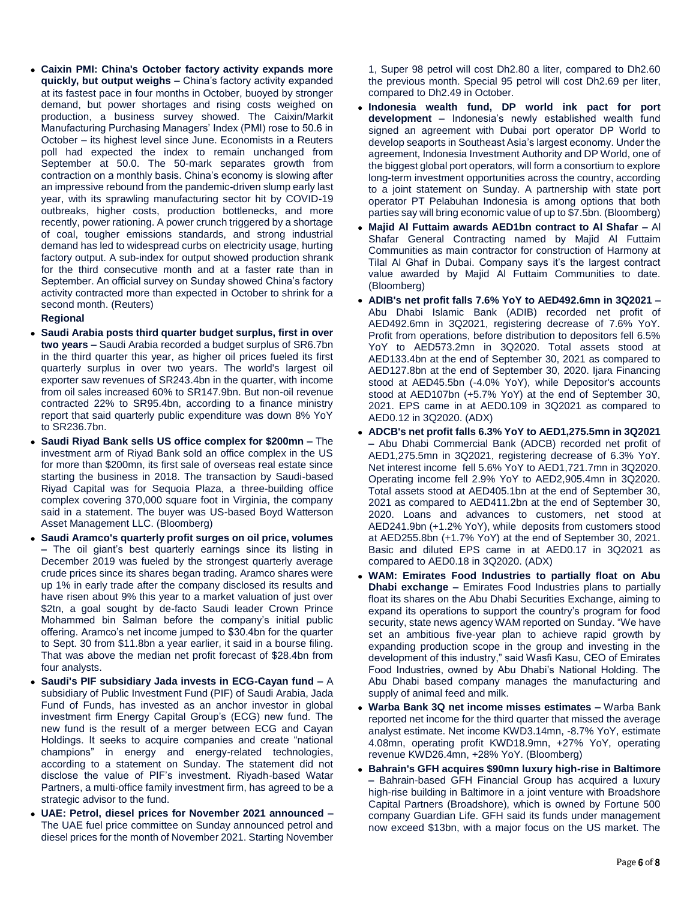**Caixin PMI: China's October factory activity expands more quickly, but output weighs –** China's factory activity expanded at its fastest pace in four months in October, buoyed by stronger demand, but power shortages and rising costs weighed on production, a business survey showed. The Caixin/Markit Manufacturing Purchasing Managers' Index (PMI) rose to 50.6 in October – its highest level since June. Economists in a Reuters poll had expected the index to remain unchanged from September at 50.0. The 50-mark separates growth from contraction on a monthly basis. China's economy is slowing after an impressive rebound from the pandemic-driven slump early last year, with its sprawling manufacturing sector hit by COVID-19 outbreaks, higher costs, production bottlenecks, and more recently, power rationing. A power crunch triggered by a shortage of coal, tougher emissions standards, and strong industrial demand has led to widespread curbs on electricity usage, hurting factory output. A sub-index for output showed production shrank for the third consecutive month and at a faster rate than in September. An official survey on Sunday showed China's factory activity contracted more than expected in October to shrink for a second month. (Reuters)

#### **Regional**

- **Saudi Arabia posts third quarter budget surplus, first in over two years –** Saudi Arabia recorded a budget surplus of SR6.7bn in the third quarter this year, as higher oil prices fueled its first quarterly surplus in over two years. The world's largest oil exporter saw revenues of SR243.4bn in the quarter, with income from oil sales increased 60% to SR147.9bn. But non-oil revenue contracted 22% to SR95.4bn, according to a finance ministry report that said quarterly public expenditure was down 8% YoY to SR236.7bn.
- **Saudi Riyad Bank sells US office complex for \$200mn –** The investment arm of Riyad Bank sold an office complex in the US for more than \$200mn, its first sale of overseas real estate since starting the business in 2018. The transaction by Saudi-based Riyad Capital was for Sequoia Plaza, a three-building office complex covering 370,000 square foot in Virginia, the company said in a statement. The buyer was US-based Boyd Watterson Asset Management LLC. (Bloomberg)
- **Saudi Aramco's quarterly profit surges on oil price, volumes –** The oil giant's best quarterly earnings since its listing in December 2019 was fueled by the strongest quarterly average crude prices since its shares began trading. Aramco shares were up 1% in early trade after the company disclosed its results and have risen about 9% this year to a market valuation of just over \$2tn, a goal sought by de-facto Saudi leader Crown Prince Mohammed bin Salman before the company's initial public offering. Aramco's net income jumped to \$30.4bn for the quarter to Sept. 30 from \$11.8bn a year earlier, it said in a bourse filing. That was above the median net profit forecast of \$28.4bn from four analysts.
- **Saudi's PIF subsidiary Jada invests in ECG-Cayan fund –** A subsidiary of Public Investment Fund (PIF) of Saudi Arabia, Jada Fund of Funds, has invested as an anchor investor in global investment firm Energy Capital Group's (ECG) new fund. The new fund is the result of a merger between ECG and Cayan Holdings. It seeks to acquire companies and create "national champions" in energy and energy-related technologies, according to a statement on Sunday. The statement did not disclose the value of PIF's investment. Riyadh-based Watar Partners, a multi-office family investment firm, has agreed to be a strategic advisor to the fund.
- **UAE: Petrol, diesel prices for November 2021 announced –** The UAE fuel price committee on Sunday announced petrol and diesel prices for the month of November 2021. Starting November

1, Super 98 petrol will cost Dh2.80 a liter, compared to Dh2.60 the previous month. Special 95 petrol will cost Dh2.69 per liter, compared to Dh2.49 in October.

- **Indonesia wealth fund, DP world ink pact for port development –** Indonesia's newly established wealth fund signed an agreement with Dubai port operator DP World to develop seaports in Southeast Asia's largest economy. Under the agreement, Indonesia Investment Authority and DP World, one of the biggest global port operators, will form a consortium to explore long-term investment opportunities across the country, according to a joint statement on Sunday. A partnership with state port operator PT Pelabuhan Indonesia is among options that both parties say will bring economic value of up to \$7.5bn. (Bloomberg)
- **Majid Al Futtaim awards AED1bn contract to Al Shafar –** Al Shafar General Contracting named by Majid Al Futtaim Communities as main contractor for construction of Harmony at Tilal Al Ghaf in Dubai. Company says it's the largest contract value awarded by Majid Al Futtaim Communities to date. (Bloomberg)
- **ADIB's net profit falls 7.6% YoY to AED492.6mn in 3Q2021 –** Abu Dhabi Islamic Bank (ADIB) recorded net profit of AED492.6mn in 3Q2021, registering decrease of 7.6% YoY. Profit from operations, before distribution to depositors fell 6.5% YoY to AED573.2mn in 3Q2020. Total assets stood at AED133.4bn at the end of September 30, 2021 as compared to AED127.8bn at the end of September 30, 2020. Ijara Financing stood at AED45.5bn (-4.0% YoY), while Depositor's accounts stood at AED107bn (+5.7% YoY) at the end of September 30, 2021. EPS came in at AED0.109 in 3Q2021 as compared to AED0.12 in 3Q2020. (ADX)
- **ADCB's net profit falls 6.3% YoY to AED1,275.5mn in 3Q2021 –** Abu Dhabi Commercial Bank (ADCB) recorded net profit of AED1,275.5mn in 3Q2021, registering decrease of 6.3% YoY. Net interest income fell 5.6% YoY to AED1,721.7mn in 3Q2020. Operating income fell 2.9% YoY to AED2,905.4mn in 3Q2020. Total assets stood at AED405.1bn at the end of September 30, 2021 as compared to AED411.2bn at the end of September 30, 2020. Loans and advances to customers, net stood at AED241.9bn (+1.2% YoY), while deposits from customers stood at AED255.8bn (+1.7% YoY) at the end of September 30, 2021. Basic and diluted EPS came in at AED0.17 in 3Q2021 as compared to AED0.18 in 3Q2020. (ADX)
- **WAM: Emirates Food Industries to partially float on Abu Dhabi exchange –** Emirates Food Industries plans to partially float its shares on the Abu Dhabi Securities Exchange, aiming to expand its operations to support the country's program for food security, state news agency WAM reported on Sunday. "We have set an ambitious five-year plan to achieve rapid growth by expanding production scope in the group and investing in the development of this industry," said Wasfi Kasu, CEO of Emirates Food Industries, owned by Abu Dhabi's National Holding. The Abu Dhabi based company manages the manufacturing and supply of animal feed and milk.
- **Warba Bank 3Q net income misses estimates –** Warba Bank reported net income for the third quarter that missed the average analyst estimate. Net income KWD3.14mn, -8.7% YoY, estimate 4.08mn, operating profit KWD18.9mn, +27% YoY, operating revenue KWD26.4mn, +28% YoY. (Bloomberg)
- **Bahrain's GFH acquires \$90mn luxury high-rise in Baltimore –** Bahrain-based GFH Financial Group has acquired a luxury high-rise building in Baltimore in a joint venture with Broadshore Capital Partners (Broadshore), which is owned by Fortune 500 company Guardian Life. GFH said its funds under management now exceed \$13bn, with a major focus on the US market. The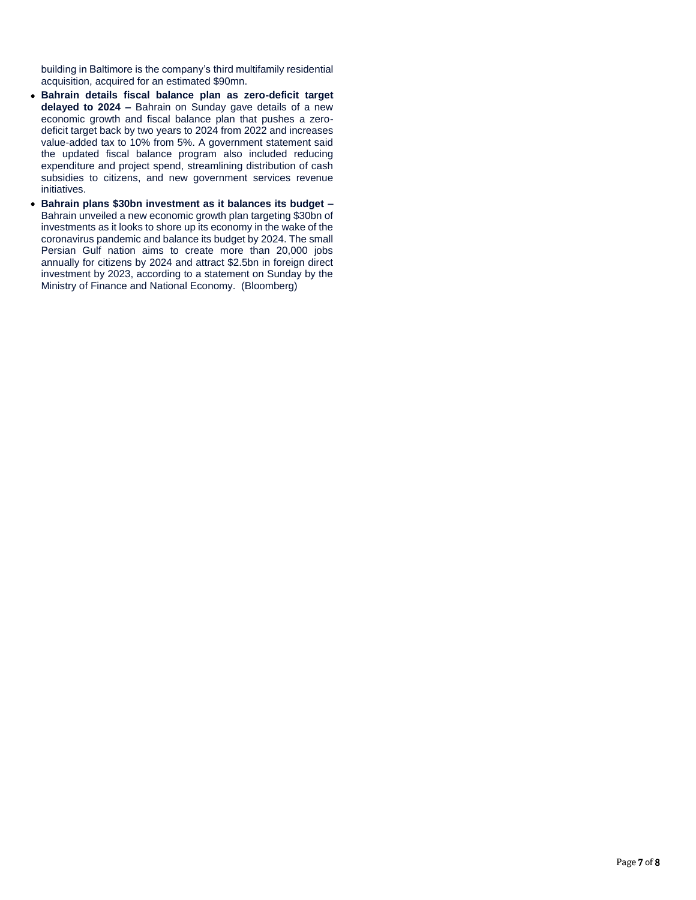building in Baltimore is the company's third multifamily residential acquisition, acquired for an estimated \$90mn.

- **Bahrain details fiscal balance plan as zero-deficit target delayed to 2024 –** Bahrain on Sunday gave details of a new economic growth and fiscal balance plan that pushes a zerodeficit target back by two years to 2024 from 2022 and increases value-added tax to 10% from 5%. A government statement said the updated fiscal balance program also included reducing expenditure and project spend, streamlining distribution of cash subsidies to citizens, and new government services revenue initiatives.
- **Bahrain plans \$30bn investment as it balances its budget –** Bahrain unveiled a new economic growth plan targeting \$30bn of investments as it looks to shore up its economy in the wake of the coronavirus pandemic and balance its budget by 2024. The small Persian Gulf nation aims to create more than 20,000 jobs annually for citizens by 2024 and attract \$2.5bn in foreign direct investment by 2023, according to a statement on Sunday by the Ministry of Finance and National Economy. (Bloomberg)